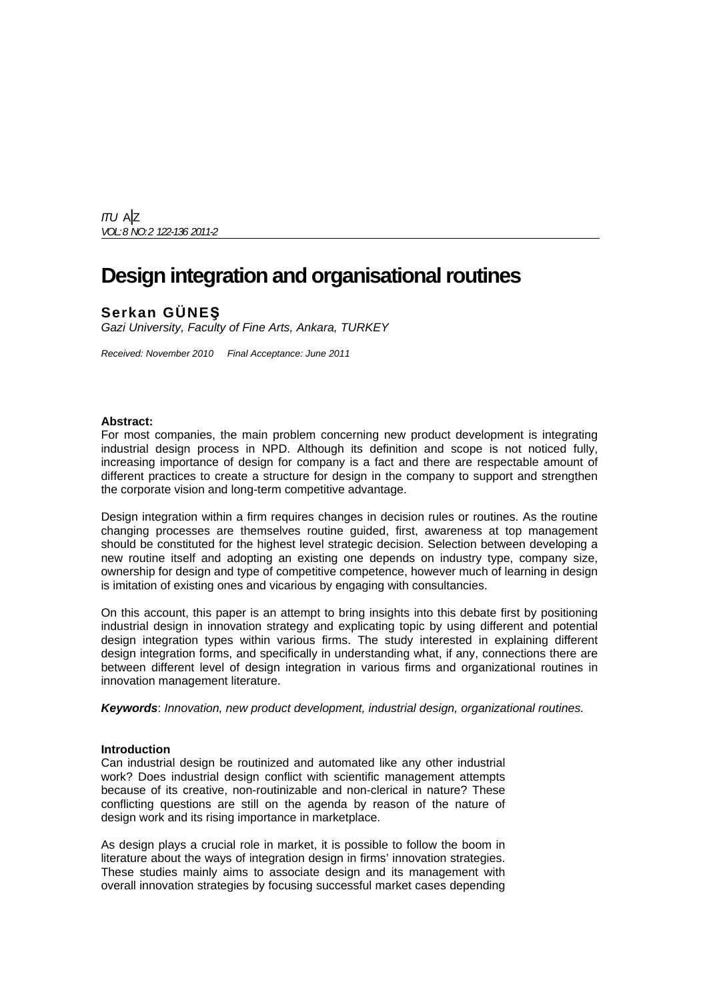ITU A|Z VOL: 8 NO: 2 122-136 2011-2

# **Design integration and organisational routines**

# **Serkan GÜNEŞ**

Gazi University, Faculty of Fine Arts, Ankara, TURKEY

Received: November 2010 Final Acceptance: June 2011

## **Abstract:**

For most companies, the main problem concerning new product development is integrating industrial design process in NPD. Although its definition and scope is not noticed fully, increasing importance of design for company is a fact and there are respectable amount of different practices to create a structure for design in the company to support and strengthen the corporate vision and long-term competitive advantage.

Design integration within a firm requires changes in decision rules or routines. As the routine changing processes are themselves routine guided, first, awareness at top management should be constituted for the highest level strategic decision. Selection between developing a new routine itself and adopting an existing one depends on industry type, company size, ownership for design and type of competitive competence, however much of learning in design is imitation of existing ones and vicarious by engaging with consultancies.

On this account, this paper is an attempt to bring insights into this debate first by positioning industrial design in innovation strategy and explicating topic by using different and potential design integration types within various firms. The study interested in explaining different design integration forms, and specifically in understanding what, if any, connections there are between different level of design integration in various firms and organizational routines in innovation management literature.

**Keywords**: Innovation, new product development, industrial design, organizational routines.

## **Introduction**

Can industrial design be routinized and automated like any other industrial work? Does industrial design conflict with scientific management attempts because of its creative, non-routinizable and non-clerical in nature? These conflicting questions are still on the agenda by reason of the nature of design work and its rising importance in marketplace.

As design plays a crucial role in market, it is possible to follow the boom in literature about the ways of integration design in firms' innovation strategies. These studies mainly aims to associate design and its management with overall innovation strategies by focusing successful market cases depending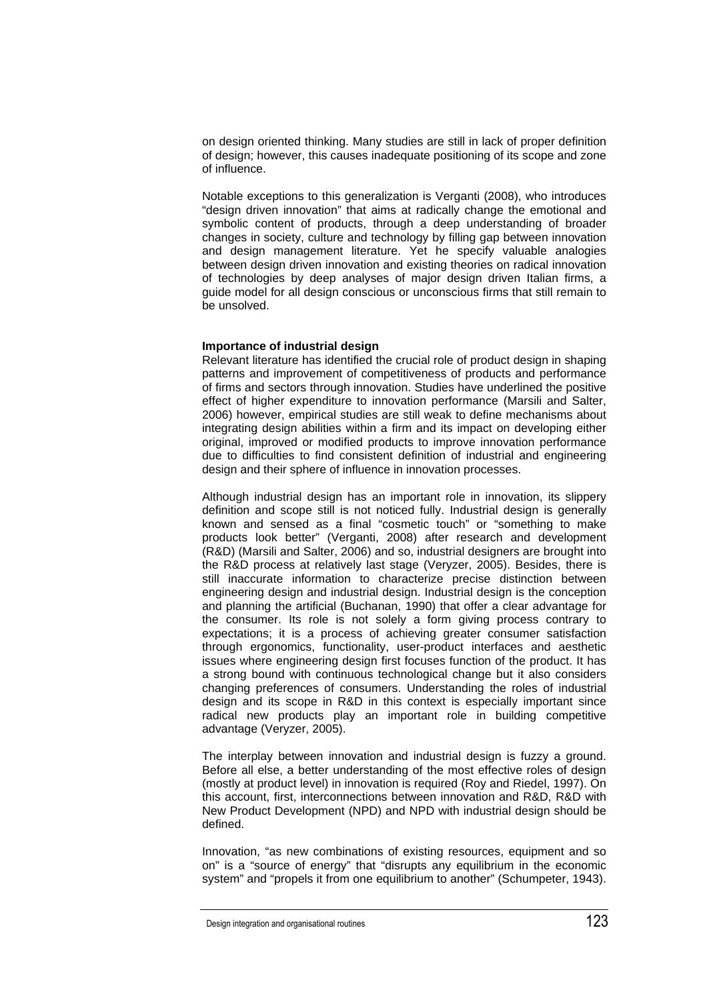on design oriented thinking. Many studies are still in lack of proper definition of design; however, this causes inadequate positioning of its scope and zone of influence.

Notable exceptions to this generalization is Verganti (2008), who introduces "design driven innovation" that aims at radically change the emotional and symbolic content of products, through a deep understanding of broader changes in society, culture and technology by filling gap between innovation and design management literature. Yet he specify valuable analogies between design driven innovation and existing theories on radical innovation of technologies by deep analyses of major design driven Italian firms, a guide model for all design conscious or unconscious firms that still remain to be unsolved.

#### **Importance of industrial design**

Relevant literature has identified the crucial role of product design in shaping patterns and improvement of competitiveness of products and performance of firms and sectors through innovation. Studies have underlined the positive effect of higher expenditure to innovation performance (Marsili and Salter, 2006) however, empirical studies are still weak to define mechanisms about integrating design abilities within a firm and its impact on developing either original, improved or modified products to improve innovation performance due to difficulties to find consistent definition of industrial and engineering design and their sphere of influence in innovation processes.

Although industrial design has an important role in innovation, its slippery definition and scope still is not noticed fully. Industrial design is generally known and sensed as a final "cosmetic touch" or "something to make products look better" (Verganti, 2008) after research and development (R&D) (Marsili and Salter, 2006) and so, industrial designers are brought into the R&D process at relatively last stage (Veryzer, 2005). Besides, there is still inaccurate information to characterize precise distinction between engineering design and industrial design. Industrial design is the conception and planning the artificial (Buchanan, 1990) that offer a clear advantage for the consumer. Its role is not solely a form giving process contrary to expectations; it is a process of achieving greater consumer satisfaction through ergonomics, functionality, user-product interfaces and aesthetic issues where engineering design first focuses function of the product. It has a strong bound with continuous technological change but it also considers changing preferences of consumers. Understanding the roles of industrial design and its scope in R&D in this context is especially important since radical new products play an important role in building competitive advantage (Veryzer, 2005).

The interplay between innovation and industrial design is fuzzy a ground. Before all else, a better understanding of the most effective roles of design (mostly at product level) in innovation is required (Roy and Riedel, 1997). On this account, first, interconnections between innovation and R&D, R&D with New Product Development (NPD) and NPD with industrial design should be defined.

Innovation, "as new combinations of existing resources, equipment and so on" is a "source of energy" that "disrupts any equilibrium in the economic system" and "propels it from one equilibrium to another" (Schumpeter, 1943).

Design integration and organisational routines  $123$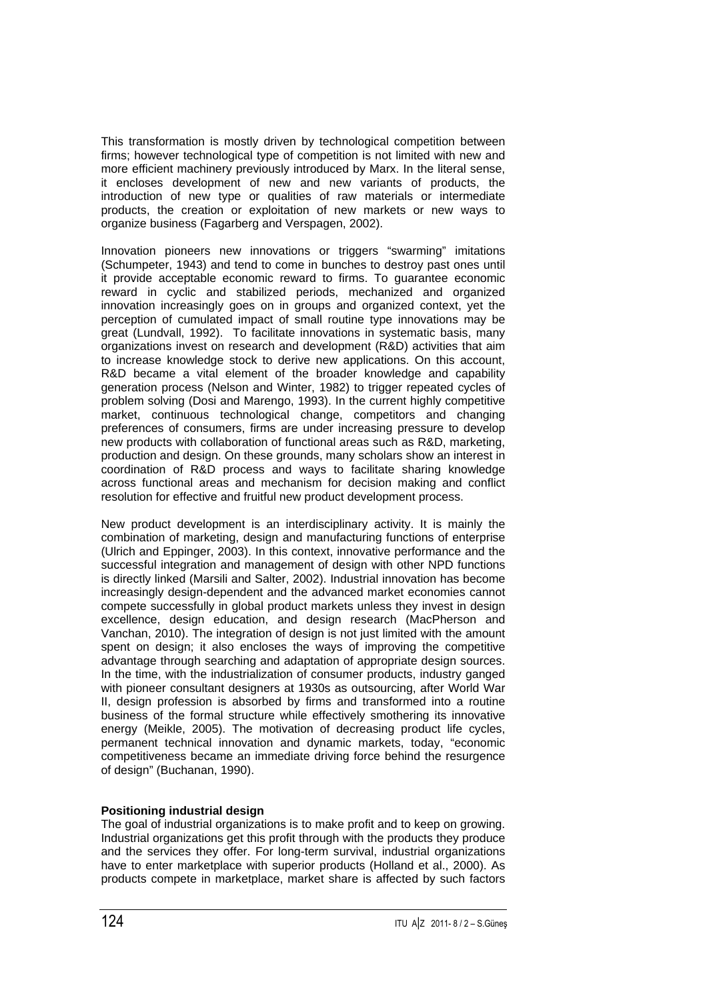This transformation is mostly driven by technological competition between firms; however technological type of competition is not limited with new and more efficient machinery previously introduced by Marx. In the literal sense, it encloses development of new and new variants of products, the introduction of new type or qualities of raw materials or intermediate products, the creation or exploitation of new markets or new ways to organize business (Fagarberg and Verspagen, 2002).

Innovation pioneers new innovations or triggers "swarming" imitations (Schumpeter, 1943) and tend to come in bunches to destroy past ones until it provide acceptable economic reward to firms. To guarantee economic reward in cyclic and stabilized periods, mechanized and organized innovation increasingly goes on in groups and organized context, yet the perception of cumulated impact of small routine type innovations may be great (Lundvall, 1992). To facilitate innovations in systematic basis, many organizations invest on research and development (R&D) activities that aim to increase knowledge stock to derive new applications. On this account, R&D became a vital element of the broader knowledge and capability generation process (Nelson and Winter, 1982) to trigger repeated cycles of problem solving (Dosi and Marengo, 1993). In the current highly competitive market, continuous technological change, competitors and changing preferences of consumers, firms are under increasing pressure to develop new products with collaboration of functional areas such as R&D, marketing, production and design. On these grounds, many scholars show an interest in coordination of R&D process and ways to facilitate sharing knowledge across functional areas and mechanism for decision making and conflict resolution for effective and fruitful new product development process.

New product development is an interdisciplinary activity. It is mainly the combination of marketing, design and manufacturing functions of enterprise (Ulrich and Eppinger, 2003). In this context, innovative performance and the successful integration and management of design with other NPD functions is directly linked (Marsili and Salter, 2002). Industrial innovation has become increasingly design-dependent and the advanced market economies cannot compete successfully in global product markets unless they invest in design excellence, design education, and design research (MacPherson and Vanchan, 2010). The integration of design is not just limited with the amount spent on design; it also encloses the ways of improving the competitive advantage through searching and adaptation of appropriate design sources. In the time, with the industrialization of consumer products, industry ganged with pioneer consultant designers at 1930s as outsourcing, after World War II, design profession is absorbed by firms and transformed into a routine business of the formal structure while effectively smothering its innovative energy (Meikle, 2005). The motivation of decreasing product life cycles, permanent technical innovation and dynamic markets, today, "economic competitiveness became an immediate driving force behind the resurgence of design" (Buchanan, 1990).

## **Positioning industrial design**

The goal of industrial organizations is to make profit and to keep on growing. Industrial organizations get this profit through with the products they produce and the services they offer. For long-term survival, industrial organizations have to enter marketplace with superior products (Holland et al., 2000). As products compete in marketplace, market share is affected by such factors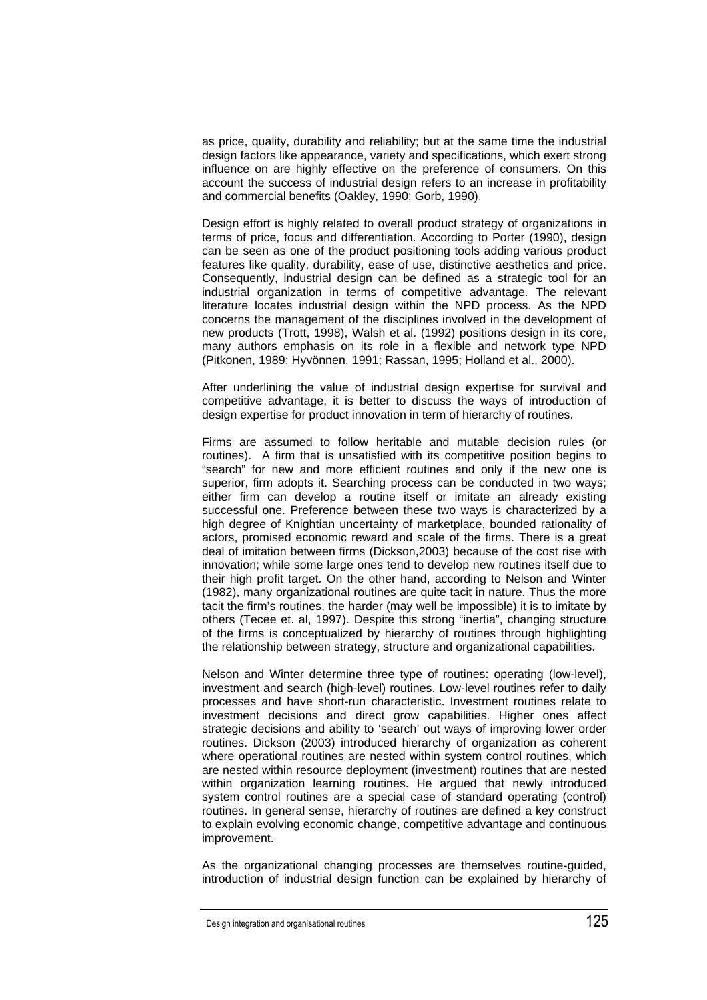as price, quality, durability and reliability; but at the same time the industrial design factors like appearance, variety and specifications, which exert strong influence on are highly effective on the preference of consumers. On this account the success of industrial design refers to an increase in profitability and commercial benefits (Oakley, 1990; Gorb, 1990).

Design effort is highly related to overall product strategy of organizations in terms of price, focus and differentiation. According to Porter (1990), design can be seen as one of the product positioning tools adding various product features like quality, durability, ease of use, distinctive aesthetics and price. Consequently, industrial design can be defined as a strategic tool for an industrial organization in terms of competitive advantage. The relevant literature locates industrial design within the NPD process. As the NPD concerns the management of the disciplines involved in the development of new products (Trott, 1998), Walsh et al. (1992) positions design in its core, many authors emphasis on its role in a flexible and network type NPD (Pitkonen, 1989; Hyvönnen, 1991; Rassan, 1995; Holland et al., 2000).

After underlining the value of industrial design expertise for survival and competitive advantage, it is better to discuss the ways of introduction of design expertise for product innovation in term of hierarchy of routines.

Firms are assumed to follow heritable and mutable decision rules (or routines). A firm that is unsatisfied with its competitive position begins to "search" for new and more efficient routines and only if the new one is superior, firm adopts it. Searching process can be conducted in two ways; either firm can develop a routine itself or imitate an already existing successful one. Preference between these two ways is characterized by a high degree of Knightian uncertainty of marketplace, bounded rationality of actors, promised economic reward and scale of the firms. There is a great deal of imitation between firms (Dickson,2003) because of the cost rise with innovation; while some large ones tend to develop new routines itself due to their high profit target. On the other hand, according to Nelson and Winter (1982), many organizational routines are quite tacit in nature. Thus the more tacit the firm's routines, the harder (may well be impossible) it is to imitate by others (Tecee et. al, 1997). Despite this strong "inertia", changing structure of the firms is conceptualized by hierarchy of routines through highlighting the relationship between strategy, structure and organizational capabilities.

Nelson and Winter determine three type of routines: operating (low-level), investment and search (high-level) routines. Low-level routines refer to daily processes and have short-run characteristic. Investment routines relate to investment decisions and direct grow capabilities. Higher ones affect strategic decisions and ability to 'search' out ways of improving lower order routines. Dickson (2003) introduced hierarchy of organization as coherent where operational routines are nested within system control routines, which are nested within resource deployment (investment) routines that are nested within organization learning routines. He argued that newly introduced system control routines are a special case of standard operating (control) routines. In general sense, hierarchy of routines are defined a key construct to explain evolving economic change, competitive advantage and continuous improvement.

As the organizational changing processes are themselves routine-guided, introduction of industrial design function can be explained by hierarchy of

Design integration and organisational routines 125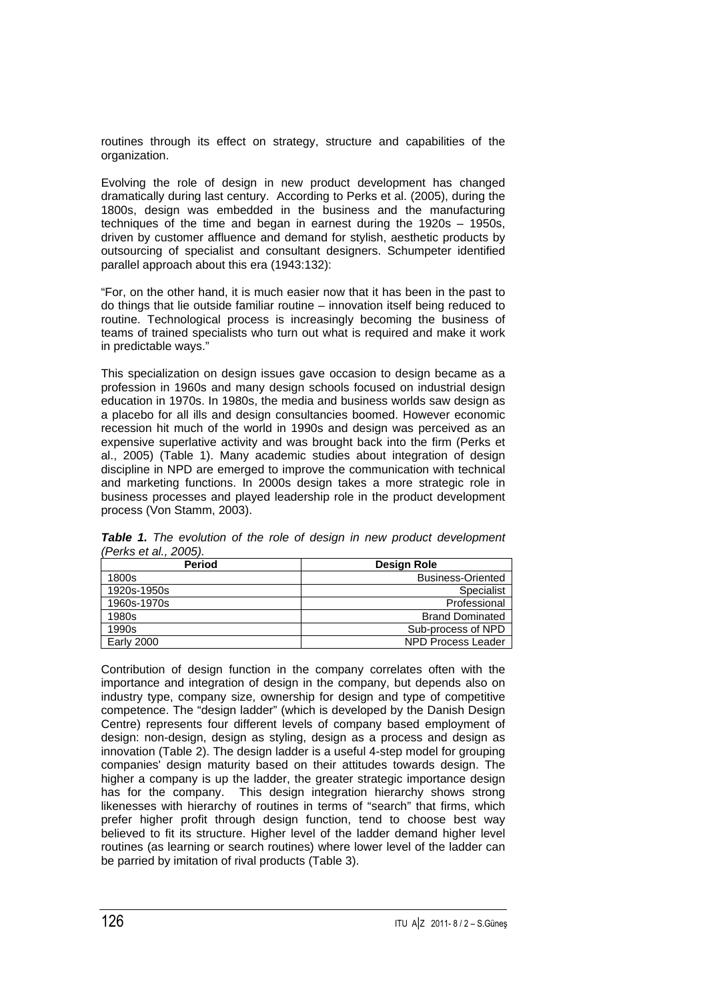routines through its effect on strategy, structure and capabilities of the organization.

Evolving the role of design in new product development has changed dramatically during last century. According to Perks et al. (2005), during the 1800s, design was embedded in the business and the manufacturing techniques of the time and began in earnest during the 1920s – 1950s, driven by customer affluence and demand for stylish, aesthetic products by outsourcing of specialist and consultant designers. Schumpeter identified parallel approach about this era (1943:132):

"For, on the other hand, it is much easier now that it has been in the past to do things that lie outside familiar routine – innovation itself being reduced to routine. Technological process is increasingly becoming the business of teams of trained specialists who turn out what is required and make it work in predictable ways."

This specialization on design issues gave occasion to design became as a profession in 1960s and many design schools focused on industrial design education in 1970s. In 1980s, the media and business worlds saw design as a placebo for all ills and design consultancies boomed. However economic recession hit much of the world in 1990s and design was perceived as an expensive superlative activity and was brought back into the firm (Perks et al., 2005) (Table 1). Many academic studies about integration of design discipline in NPD are emerged to improve the communication with technical and marketing functions. In 2000s design takes a more strategic role in business processes and played leadership role in the product development process (Von Stamm, 2003).

| <b>Period</b>     | Design Role               |  |  |
|-------------------|---------------------------|--|--|
| 1800s             | <b>Business-Oriented</b>  |  |  |
| 1920s-1950s       | <b>Specialist</b>         |  |  |
| 1960s-1970s       | Professional              |  |  |
| 1980s             | <b>Brand Dominated</b>    |  |  |
| 1990s             | Sub-process of NPD        |  |  |
| <b>Early 2000</b> | <b>NPD Process Leader</b> |  |  |

**Table 1.** The evolution of the role of design in new product development (Perks et al., 2005).

Contribution of design function in the company correlates often with the importance and integration of design in the company, but depends also on industry type, company size, ownership for design and type of competitive competence. The "design ladder" (which is developed by the Danish Design Centre) represents four different levels of company based employment of design: non-design, design as styling, design as a process and design as innovation (Table 2). The design ladder is a useful 4-step model for grouping companies' design maturity based on their attitudes towards design. The higher a company is up the ladder, the greater strategic importance design has for the company. This design integration hierarchy shows strong likenesses with hierarchy of routines in terms of "search" that firms, which prefer higher profit through design function, tend to choose best way believed to fit its structure. Higher level of the ladder demand higher level routines (as learning or search routines) where lower level of the ladder can be parried by imitation of rival products (Table 3).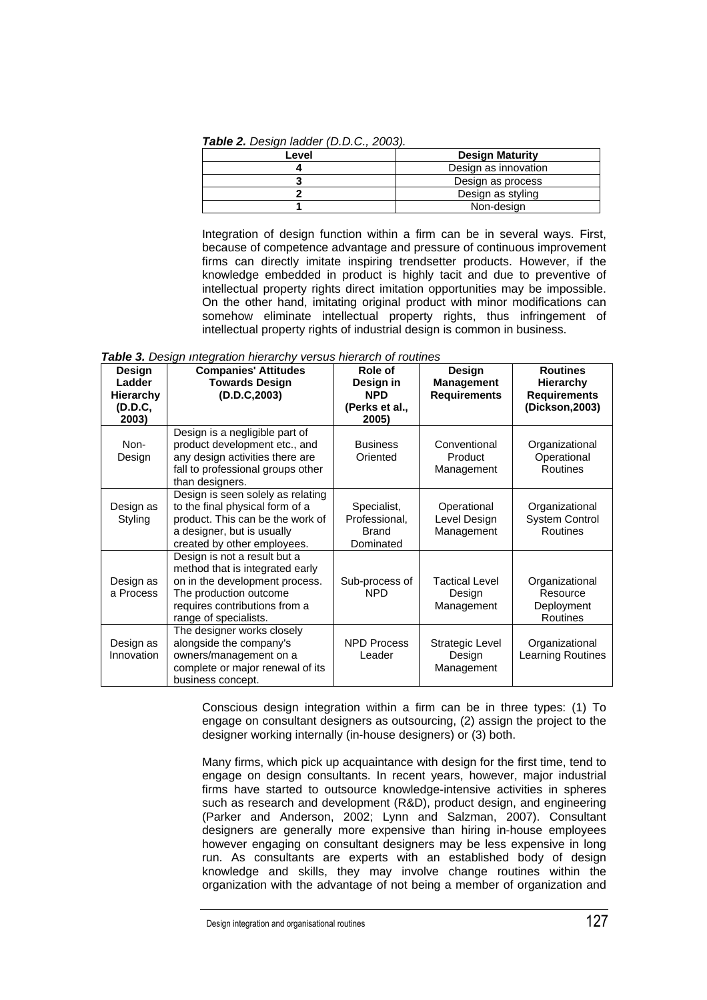**Table 2.** Design ladder (D.D.C., 2003).

| Level | <b>Design Maturity</b> |  |  |
|-------|------------------------|--|--|
|       | Design as innovation   |  |  |
|       | Design as process      |  |  |
|       | Design as styling      |  |  |
|       | Non-design             |  |  |

Integration of design function within a firm can be in several ways. First, because of competence advantage and pressure of continuous improvement firms can directly imitate inspiring trendsetter products. However, if the knowledge embedded in product is highly tacit and due to preventive of intellectual property rights direct imitation opportunities may be impossible. On the other hand, imitating original product with minor modifications can somehow eliminate intellectual property rights, thus infringement of intellectual property rights of industrial design is common in business.

| Table 3. Design integration hierarchy versus hierarch of routines |  |  |
|-------------------------------------------------------------------|--|--|
|-------------------------------------------------------------------|--|--|

| Design<br>Ladder<br><b>Hierarchy</b><br>(D.D.C,<br>2003) | <b>Companies' Attitudes</b><br><b>Towards Design</b><br>(D.D.C, 2003)                                                                                                                 | Role of<br>Design in<br><b>NPD</b><br>(Perks et al.,<br>2005) | Design<br><b>Management</b><br><b>Requirements</b> | <b>Routines</b><br><b>Hierarchy</b><br><b>Requirements</b><br>(Dickson, 2003) |
|----------------------------------------------------------|---------------------------------------------------------------------------------------------------------------------------------------------------------------------------------------|---------------------------------------------------------------|----------------------------------------------------|-------------------------------------------------------------------------------|
| Non-<br>Design                                           | Design is a negligible part of<br>product development etc., and<br>any design activities there are<br>fall to professional groups other<br>than designers.                            | <b>Business</b><br>Oriented                                   | Conventional<br>Product<br>Management              | Organizational<br>Operational<br><b>Routines</b>                              |
| Design as<br>Styling                                     | Design is seen solely as relating<br>to the final physical form of a<br>product. This can be the work of<br>a designer, but is usually<br>created by other employees.                 | Specialist,<br>Professional,<br><b>Brand</b><br>Dominated     | Operational<br>Level Design<br>Management          | Organizational<br><b>System Control</b><br><b>Routines</b>                    |
| Design as<br>a Process                                   | Design is not a result but a<br>method that is integrated early<br>on in the development process.<br>The production outcome<br>requires contributions from a<br>range of specialists. | Sub-process of<br><b>NPD</b>                                  | <b>Tactical Level</b><br>Design<br>Management      | Organizational<br>Resource<br>Deployment<br>Routines                          |
| Design as<br>Innovation                                  | The designer works closely<br>alongside the company's<br>owners/management on a<br>complete or major renewal of its<br>business concept.                                              | <b>NPD Process</b><br>Leader                                  | Strategic Level<br>Design<br>Management            | Organizational<br>Learning Routines                                           |

Conscious design integration within a firm can be in three types: (1) To engage on consultant designers as outsourcing, (2) assign the project to the designer working internally (in-house designers) or (3) both.

Many firms, which pick up acquaintance with design for the first time, tend to engage on design consultants. In recent years, however, major industrial firms have started to outsource knowledge-intensive activities in spheres such as research and development (R&D), product design, and engineering (Parker and Anderson, 2002; Lynn and Salzman, 2007). Consultant designers are generally more expensive than hiring in-house employees however engaging on consultant designers may be less expensive in long run. As consultants are experts with an established body of design knowledge and skills, they may involve change routines within the organization with the advantage of not being a member of organization and

Design integration and organisational routines 127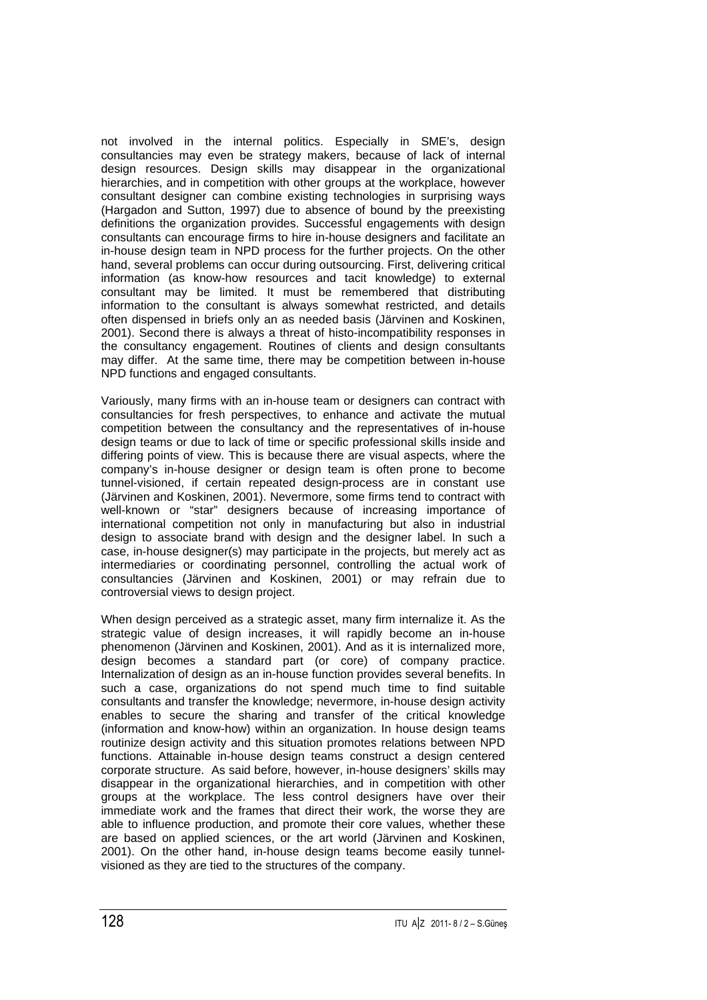not involved in the internal politics. Especially in SME's, design consultancies may even be strategy makers, because of lack of internal design resources. Design skills may disappear in the organizational hierarchies, and in competition with other groups at the workplace, however consultant designer can combine existing technologies in surprising ways (Hargadon and Sutton, 1997) due to absence of bound by the preexisting definitions the organization provides. Successful engagements with design consultants can encourage firms to hire in-house designers and facilitate an in-house design team in NPD process for the further projects. On the other hand, several problems can occur during outsourcing. First, delivering critical information (as know-how resources and tacit knowledge) to external consultant may be limited. It must be remembered that distributing information to the consultant is always somewhat restricted, and details often dispensed in briefs only an as needed basis (Järvinen and Koskinen, 2001). Second there is always a threat of histo-incompatibility responses in the consultancy engagement. Routines of clients and design consultants may differ. At the same time, there may be competition between in-house NPD functions and engaged consultants.

Variously, many firms with an in-house team or designers can contract with consultancies for fresh perspectives, to enhance and activate the mutual competition between the consultancy and the representatives of in-house design teams or due to lack of time or specific professional skills inside and differing points of view. This is because there are visual aspects, where the company's in-house designer or design team is often prone to become tunnel-visioned, if certain repeated design-process are in constant use (Järvinen and Koskinen, 2001). Nevermore, some firms tend to contract with well-known or "star" designers because of increasing importance of international competition not only in manufacturing but also in industrial design to associate brand with design and the designer label. In such a case, in-house designer(s) may participate in the projects, but merely act as intermediaries or coordinating personnel, controlling the actual work of consultancies (Järvinen and Koskinen, 2001) or may refrain due to controversial views to design project.

When design perceived as a strategic asset, many firm internalize it. As the strategic value of design increases, it will rapidly become an in-house phenomenon (Järvinen and Koskinen, 2001). And as it is internalized more, design becomes a standard part (or core) of company practice. Internalization of design as an in-house function provides several benefits. In such a case, organizations do not spend much time to find suitable consultants and transfer the knowledge; nevermore, in-house design activity enables to secure the sharing and transfer of the critical knowledge (information and know-how) within an organization. In house design teams routinize design activity and this situation promotes relations between NPD functions. Attainable in-house design teams construct a design centered corporate structure. As said before, however, in-house designers' skills may disappear in the organizational hierarchies, and in competition with other groups at the workplace. The less control designers have over their immediate work and the frames that direct their work, the worse they are able to influence production, and promote their core values, whether these are based on applied sciences, or the art world (Järvinen and Koskinen, 2001). On the other hand, in-house design teams become easily tunnelvisioned as they are tied to the structures of the company.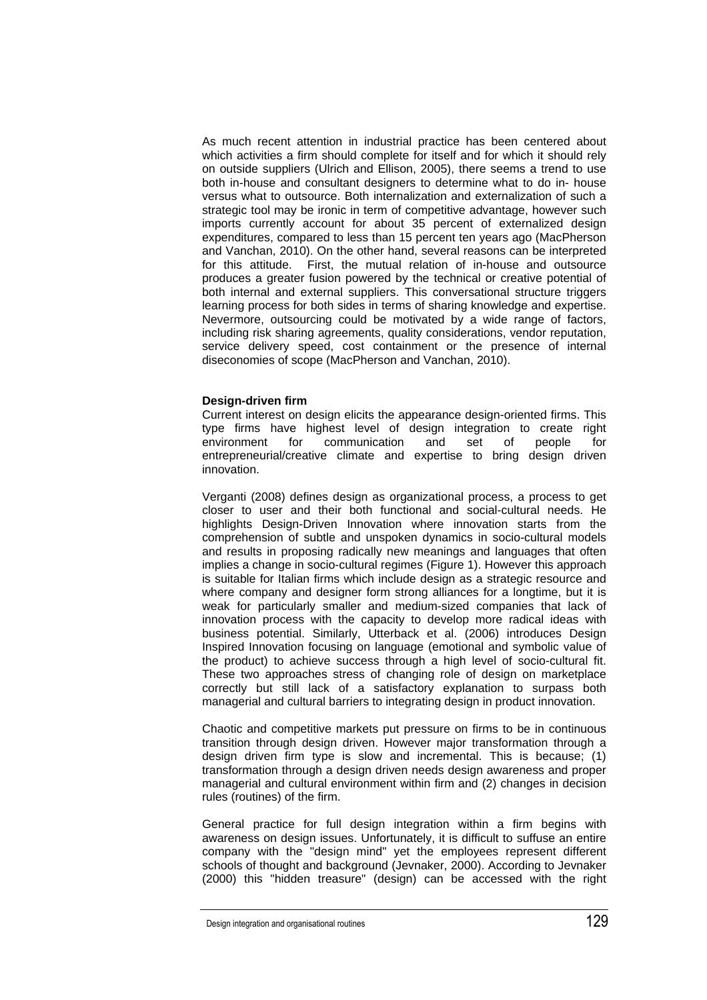As much recent attention in industrial practice has been centered about which activities a firm should complete for itself and for which it should rely on outside suppliers (Ulrich and Ellison, 2005), there seems a trend to use both in-house and consultant designers to determine what to do in- house versus what to outsource. Both internalization and externalization of such a strategic tool may be ironic in term of competitive advantage, however such imports currently account for about 35 percent of externalized design expenditures, compared to less than 15 percent ten years ago (MacPherson and Vanchan, 2010). On the other hand, several reasons can be interpreted for this attitude. First, the mutual relation of in-house and outsource produces a greater fusion powered by the technical or creative potential of both internal and external suppliers. This conversational structure triggers learning process for both sides in terms of sharing knowledge and expertise. Nevermore, outsourcing could be motivated by a wide range of factors, including risk sharing agreements, quality considerations, vendor reputation, service delivery speed, cost containment or the presence of internal diseconomies of scope (MacPherson and Vanchan, 2010).

## **Design-driven firm**

Current interest on design elicits the appearance design-oriented firms. This type firms have highest level of design integration to create right environment for communication and set of people for entrepreneurial/creative climate and expertise to bring design driven innovation.

Verganti (2008) defines design as organizational process, a process to get closer to user and their both functional and social-cultural needs. He highlights Design-Driven Innovation where innovation starts from the comprehension of subtle and unspoken dynamics in socio-cultural models and results in proposing radically new meanings and languages that often implies a change in socio-cultural regimes (Figure 1). However this approach is suitable for Italian firms which include design as a strategic resource and where company and designer form strong alliances for a longtime, but it is weak for particularly smaller and medium-sized companies that lack of innovation process with the capacity to develop more radical ideas with business potential. Similarly, Utterback et al. (2006) introduces Design Inspired Innovation focusing on language (emotional and symbolic value of the product) to achieve success through a high level of socio-cultural fit. These two approaches stress of changing role of design on marketplace correctly but still lack of a satisfactory explanation to surpass both managerial and cultural barriers to integrating design in product innovation.

Chaotic and competitive markets put pressure on firms to be in continuous transition through design driven. However major transformation through a design driven firm type is slow and incremental. This is because; (1) transformation through a design driven needs design awareness and proper managerial and cultural environment within firm and (2) changes in decision rules (routines) of the firm.

General practice for full design integration within a firm begins with awareness on design issues. Unfortunately, it is difficult to suffuse an entire company with the "design mind" yet the employees represent different schools of thought and background (Jevnaker, 2000). According to Jevnaker (2000) this "hidden treasure" (design) can be accessed with the right

Design integration and organisational routines 129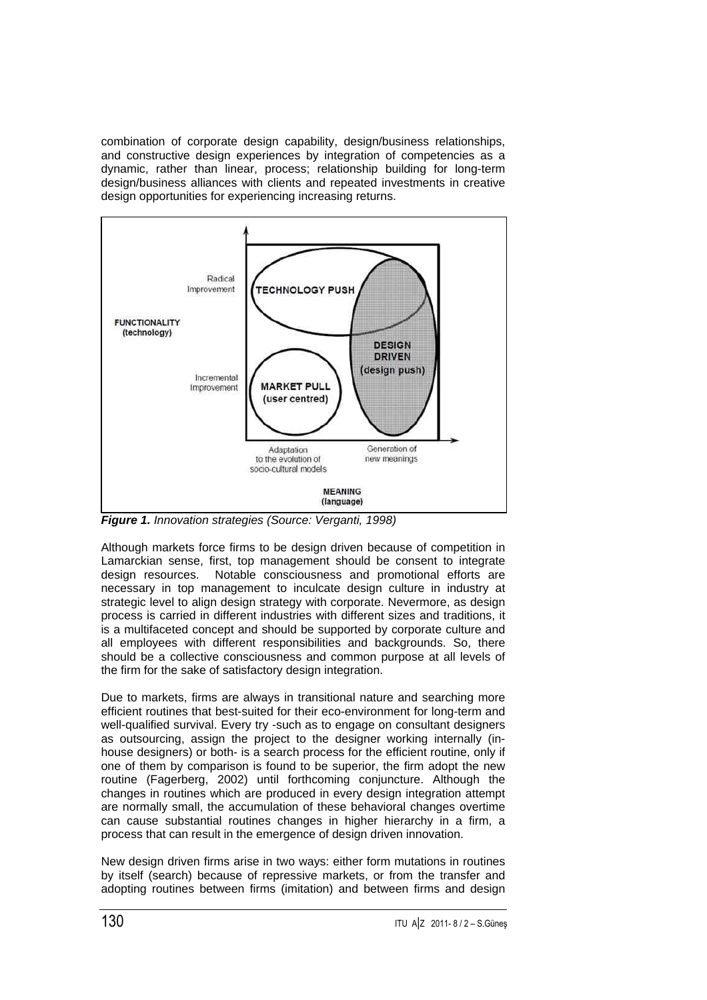combination of corporate design capability, design/business relationships, and constructive design experiences by integration of competencies as a dynamic, rather than linear, process; relationship building for long-term design/business alliances with clients and repeated investments in creative design opportunities for experiencing increasing returns.



**Figure 1.** Innovation strategies (Source: Verganti, 1998)

Although markets force firms to be design driven because of competition in Lamarckian sense, first, top management should be consent to integrate design resources. Notable consciousness and promotional efforts are necessary in top management to inculcate design culture in industry at strategic level to align design strategy with corporate. Nevermore, as design process is carried in different industries with different sizes and traditions, it is a multifaceted concept and should be supported by corporate culture and all employees with different responsibilities and backgrounds. So, there should be a collective consciousness and common purpose at all levels of the firm for the sake of satisfactory design integration.

Due to markets, firms are always in transitional nature and searching more efficient routines that best-suited for their eco-environment for long-term and well-qualified survival. Every try -such as to engage on consultant designers as outsourcing, assign the project to the designer working internally (inhouse designers) or both- is a search process for the efficient routine, only if one of them by comparison is found to be superior, the firm adopt the new routine (Fagerberg, 2002) until forthcoming conjuncture. Although the changes in routines which are produced in every design integration attempt are normally small, the accumulation of these behavioral changes overtime can cause substantial routines changes in higher hierarchy in a firm, a process that can result in the emergence of design driven innovation.

New design driven firms arise in two ways: either form mutations in routines by itself (search) because of repressive markets, or from the transfer and adopting routines between firms (imitation) and between firms and design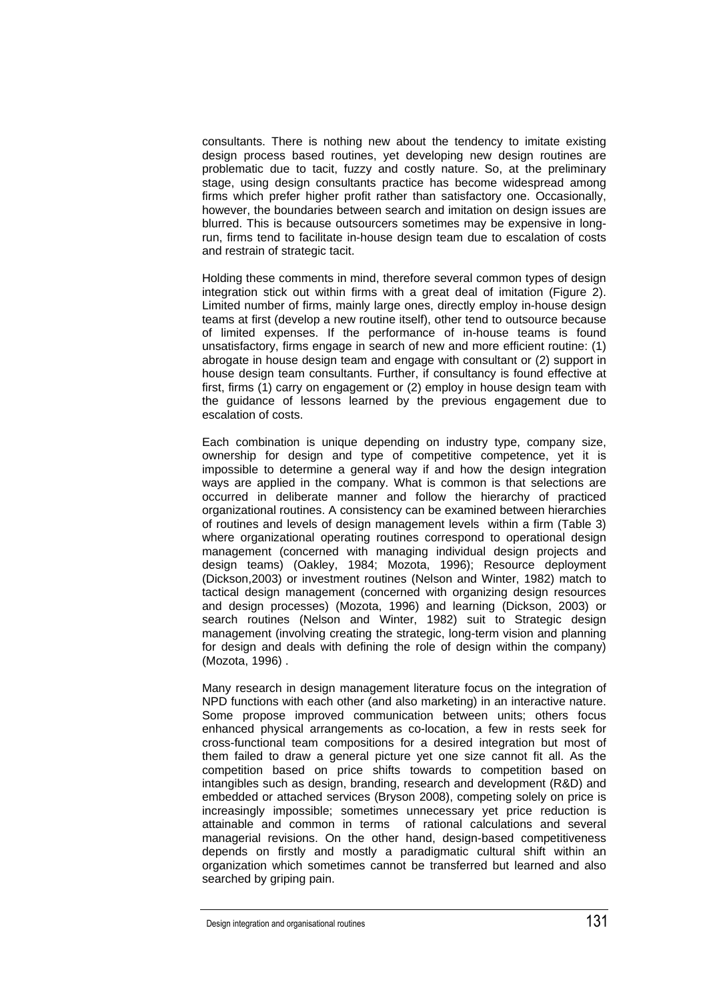consultants. There is nothing new about the tendency to imitate existing design process based routines, yet developing new design routines are problematic due to tacit, fuzzy and costly nature. So, at the preliminary stage, using design consultants practice has become widespread among firms which prefer higher profit rather than satisfactory one. Occasionally, however, the boundaries between search and imitation on design issues are blurred. This is because outsourcers sometimes may be expensive in longrun, firms tend to facilitate in-house design team due to escalation of costs and restrain of strategic tacit.

Holding these comments in mind, therefore several common types of design integration stick out within firms with a great deal of imitation (Figure 2). Limited number of firms, mainly large ones, directly employ in-house design teams at first (develop a new routine itself), other tend to outsource because of limited expenses. If the performance of in-house teams is found unsatisfactory, firms engage in search of new and more efficient routine: (1) abrogate in house design team and engage with consultant or (2) support in house design team consultants. Further, if consultancy is found effective at first, firms (1) carry on engagement or (2) employ in house design team with the guidance of lessons learned by the previous engagement due to escalation of costs.

Each combination is unique depending on industry type, company size, ownership for design and type of competitive competence, yet it is impossible to determine a general way if and how the design integration ways are applied in the company. What is common is that selections are occurred in deliberate manner and follow the hierarchy of practiced organizational routines. A consistency can be examined between hierarchies of routines and levels of design management levels within a firm (Table 3) where organizational operating routines correspond to operational design management (concerned with managing individual design projects and design teams) (Oakley, 1984; Mozota, 1996); Resource deployment (Dickson,2003) or investment routines (Nelson and Winter, 1982) match to tactical design management (concerned with organizing design resources and design processes) (Mozota, 1996) and learning (Dickson, 2003) or search routines (Nelson and Winter, 1982) suit to Strategic design management (involving creating the strategic, long-term vision and planning for design and deals with defining the role of design within the company) (Mozota, 1996) .

Many research in design management literature focus on the integration of NPD functions with each other (and also marketing) in an interactive nature. Some propose improved communication between units; others focus enhanced physical arrangements as co-location, a few in rests seek for cross-functional team compositions for a desired integration but most of them failed to draw a general picture yet one size cannot fit all. As the competition based on price shifts towards to competition based on intangibles such as design, branding, research and development (R&D) and embedded or attached services (Bryson 2008), competing solely on price is increasingly impossible; sometimes unnecessary yet price reduction is attainable and common in terms of rational calculations and several managerial revisions. On the other hand, design-based competitiveness depends on firstly and mostly a paradigmatic cultural shift within an organization which sometimes cannot be transferred but learned and also searched by griping pain.

Design integration and organisational routines 131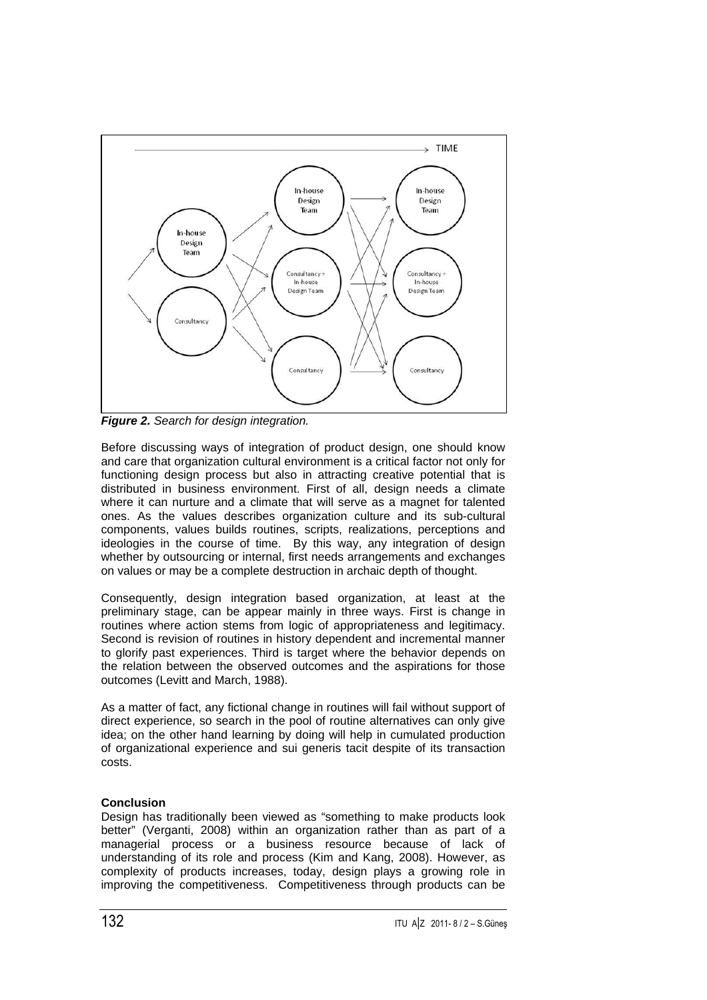

**Figure 2.** Search for design integration.

Before discussing ways of integration of product design, one should know and care that organization cultural environment is a critical factor not only for functioning design process but also in attracting creative potential that is distributed in business environment. First of all, design needs a climate where it can nurture and a climate that will serve as a magnet for talented ones. As the values describes organization culture and its sub-cultural components, values builds routines, scripts, realizations, perceptions and ideologies in the course of time. By this way, any integration of design whether by outsourcing or internal, first needs arrangements and exchanges on values or may be a complete destruction in archaic depth of thought.

Consequently, design integration based organization, at least at the preliminary stage, can be appear mainly in three ways. First is change in routines where action stems from logic of appropriateness and legitimacy. Second is revision of routines in history dependent and incremental manner to glorify past experiences. Third is target where the behavior depends on the relation between the observed outcomes and the aspirations for those outcomes (Levitt and March, 1988).

As a matter of fact, any fictional change in routines will fail without support of direct experience, so search in the pool of routine alternatives can only give idea; on the other hand learning by doing will help in cumulated production of organizational experience and sui generis tacit despite of its transaction costs.

# **Conclusion**

Design has traditionally been viewed as "something to make products look better" (Verganti, 2008) within an organization rather than as part of a managerial process or a business resource because of lack of understanding of its role and process (Kim and Kang, 2008). However, as complexity of products increases, today, design plays a growing role in improving the competitiveness. Competitiveness through products can be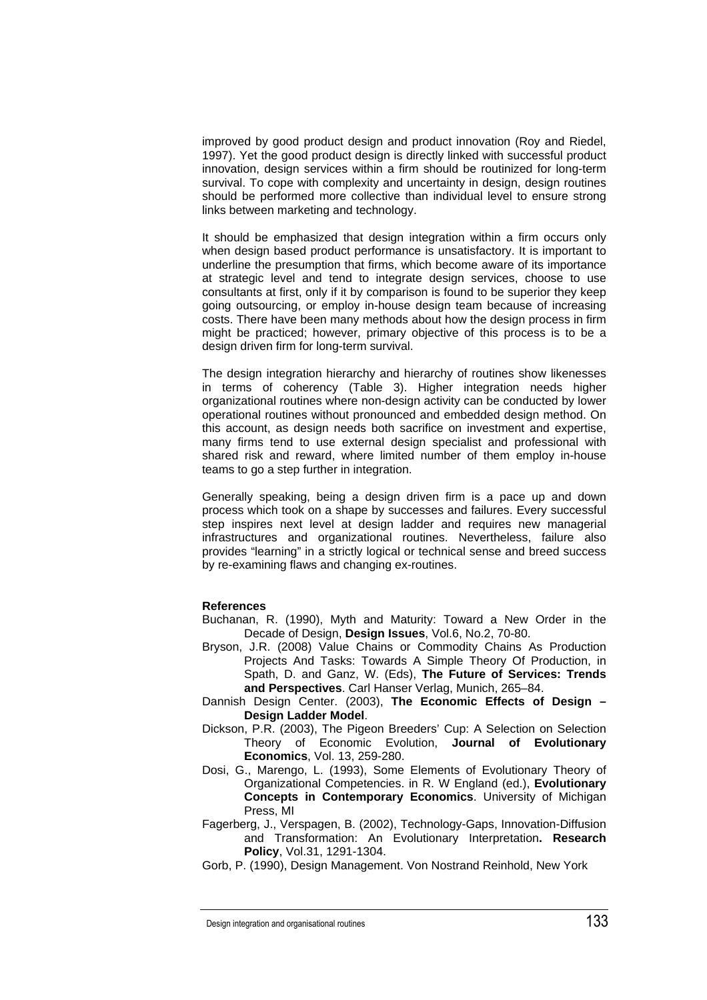improved by good product design and product innovation (Roy and Riedel, 1997). Yet the good product design is directly linked with successful product innovation, design services within a firm should be routinized for long-term survival. To cope with complexity and uncertainty in design, design routines should be performed more collective than individual level to ensure strong links between marketing and technology.

It should be emphasized that design integration within a firm occurs only when design based product performance is unsatisfactory. It is important to underline the presumption that firms, which become aware of its importance at strategic level and tend to integrate design services, choose to use consultants at first, only if it by comparison is found to be superior they keep going outsourcing, or employ in-house design team because of increasing costs. There have been many methods about how the design process in firm might be practiced; however, primary objective of this process is to be a design driven firm for long-term survival.

The design integration hierarchy and hierarchy of routines show likenesses in terms of coherency (Table 3). Higher integration needs higher organizational routines where non-design activity can be conducted by lower operational routines without pronounced and embedded design method. On this account, as design needs both sacrifice on investment and expertise, many firms tend to use external design specialist and professional with shared risk and reward, where limited number of them employ in-house teams to go a step further in integration.

Generally speaking, being a design driven firm is a pace up and down process which took on a shape by successes and failures. Every successful step inspires next level at design ladder and requires new managerial infrastructures and organizational routines. Nevertheless, failure also provides "learning" in a strictly logical or technical sense and breed success by re-examining flaws and changing ex-routines.

#### **References**

- Buchanan, R. (1990), Myth and Maturity: Toward a New Order in the Decade of Design, **Design Issues**, Vol.6, No.2, 70-80.
- Bryson, J.R. (2008) Value Chains or Commodity Chains As Production Projects And Tasks: Towards A Simple Theory Of Production, in Spath, D. and Ganz, W. (Eds), **The Future of Services: Trends and Perspectives**. Carl Hanser Verlag, Munich, 265–84.
- Dannish Design Center. (2003), **The Economic Effects of Design Design Ladder Model**.
- Dickson, P.R. (2003), The Pigeon Breeders' Cup: A Selection on Selection Theory of Economic Evolution, **Journal of Evolutionary Economics**, Vol. 13, 259-280.
- Dosi, G., Marengo, L. (1993), Some Elements of Evolutionary Theory of Organizational Competencies. in R. W England (ed.), **Evolutionary Concepts in Contemporary Economics**. University of Michigan Press, MI
- Fagerberg, J., Verspagen, B. (2002), Technology-Gaps, Innovation-Diffusion and Transformation: An Evolutionary Interpretation**. Research Policy**, Vol.31, 1291-1304.
- Gorb, P. (1990), Design Management. Von Nostrand Reinhold, New York

Design integration and organisational routines 133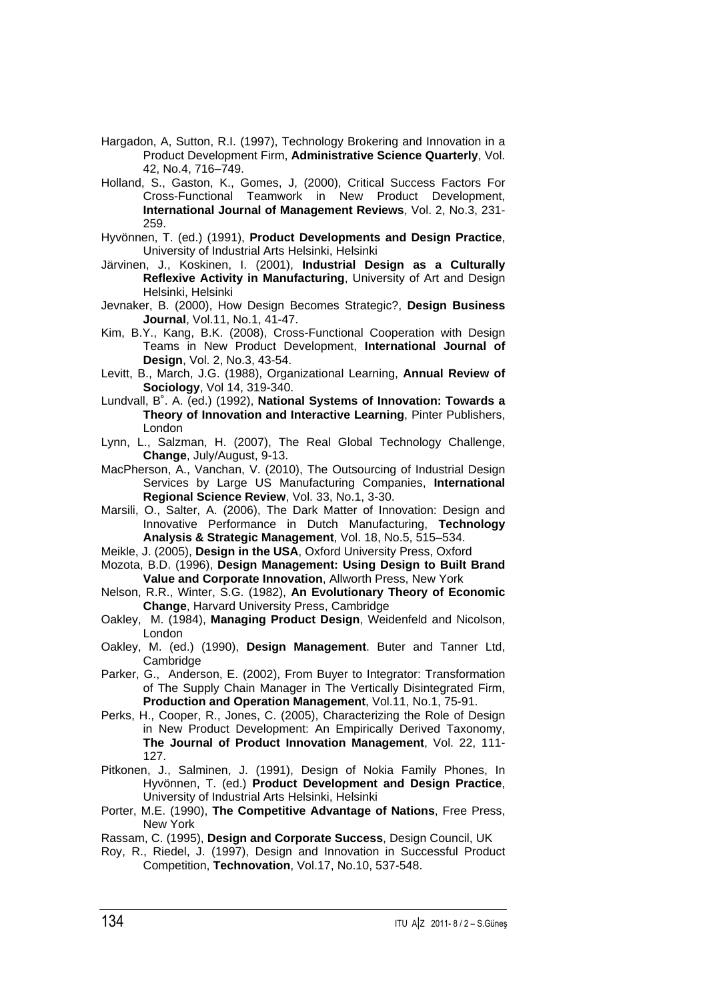- Hargadon, A, Sutton, R.I. (1997), Technology Brokering and Innovation in a Product Development Firm, **Administrative Science Quarterly**, Vol. 42, No.4, 716–749.
- Holland, S., Gaston, K., Gomes, J, (2000), Critical Success Factors For Cross-Functional Teamwork in New Product Development, **International Journal of Management Reviews**, Vol. 2, No.3, 231- 259.
- Hyvönnen, T. (ed.) (1991), **Product Developments and Design Practice**, University of Industrial Arts Helsinki, Helsinki
- Järvinen, J., Koskinen, I. (2001), **Industrial Design as a Culturally Reflexive Activity in Manufacturing**, University of Art and Design Helsinki, Helsinki
- Jevnaker, B. (2000), How Design Becomes Strategic?, **Design Business Journal**, Vol.11, No.1, 41-47.
- Kim, B.Y., Kang, B.K. (2008), Cross-Functional Cooperation with Design Teams in New Product Development, **International Journal of Design**, Vol. 2, No.3, 43-54.
- Levitt, B., March, J.G. (1988), Organizational Learning, **Annual Review of Sociology**, Vol 14, 319-340.
- Lundvall, B˚. A. (ed.) (1992), **National Systems of Innovation: Towards a Theory of Innovation and Interactive Learning**, Pinter Publishers, London
- Lynn, L., Salzman, H. (2007), The Real Global Technology Challenge, **Change**, July/August, 9-13.
- MacPherson, A., Vanchan, V. (2010), The Outsourcing of Industrial Design Services by Large US Manufacturing Companies, **International Regional Science Review**, Vol. 33, No.1, 3-30.
- Marsili, O., Salter, A. (2006), The Dark Matter of Innovation: Design and Innovative Performance in Dutch Manufacturing, **Technology Analysis & Strategic Management**, Vol. 18, No.5, 515–534.
- Meikle, J. (2005), **Design in the USA**, Oxford University Press, Oxford
- Mozota, B.D. (1996), **Design Management: Using Design to Built Brand Value and Corporate Innovation**, Allworth Press, New York
- Nelson, R.R., Winter, S.G. (1982), **An Evolutionary Theory of Economic Change**, Harvard University Press, Cambridge
- Oakley, M. (1984), **Managing Product Design**, Weidenfeld and Nicolson, London
- Oakley, M. (ed.) (1990), **Design Management**. Buter and Tanner Ltd, Cambridge
- Parker, G., Anderson, E. (2002), From Buyer to Integrator: Transformation of The Supply Chain Manager in The Vertically Disintegrated Firm, **Production and Operation Management**, Vol.11, No.1, 75-91.
- Perks, H., Cooper, R., Jones, C. (2005), Characterizing the Role of Design in New Product Development: An Empirically Derived Taxonomy, **The Journal of Product Innovation Management**, Vol. 22, 111- 127.
- Pitkonen, J., Salminen, J. (1991), Design of Nokia Family Phones, In Hyvönnen, T. (ed.) **Product Development and Design Practice**, University of Industrial Arts Helsinki, Helsinki
- Porter, M.E. (1990), **The Competitive Advantage of Nations**, Free Press, New York
- Rassam, C. (1995), **Design and Corporate Success**, Design Council, UK
- Roy, R., Riedel, J. (1997), Design and Innovation in Successful Product Competition, **Technovation**, Vol.17, No.10, 537-548.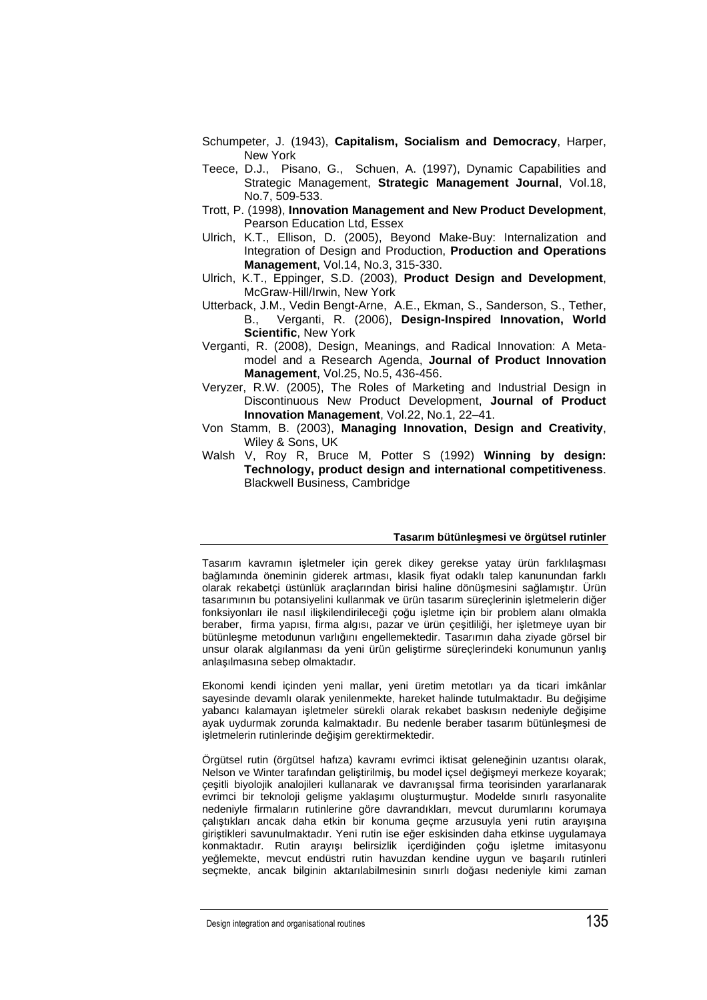- Schumpeter, J. (1943), **Capitalism, Socialism and Democracy**, Harper, New York
- Teece, D.J., Pisano, G., Schuen, A. (1997), Dynamic Capabilities and Strategic Management, **Strategic Management Journal**, Vol.18, No.7, 509-533.
- Trott, P. (1998), **Innovation Management and New Product Development**, Pearson Education Ltd, Essex
- Ulrich, K.T., Ellison, D. (2005), Beyond Make-Buy: Internalization and Integration of Design and Production, **Production and Operations Management**, Vol.14, No.3, 315-330.
- Ulrich, K.T., Eppinger, S.D. (2003), **Product Design and Development**, McGraw-Hill/Irwin, New York
- Utterback, J.M., Vedin Bengt-Arne, A.E., Ekman, S., Sanderson, S., Tether, B., Verganti, R. (2006), **Design-Inspired Innovation, World Scientific**, New York
- Verganti, R. (2008), Design, Meanings, and Radical Innovation: A Metamodel and a Research Agenda, **Journal of Product Innovation Management**, Vol.25, No.5, 436-456.
- Veryzer, R.W. (2005), The Roles of Marketing and Industrial Design in Discontinuous New Product Development, **Journal of Product Innovation Management**, Vol.22, No.1, 22–41.
- Von Stamm, B. (2003), **Managing Innovation, Design and Creativity**, Wiley & Sons, UK
- Walsh V, Roy R, Bruce M, Potter S (1992) **Winning by design: Technology, product design and international competitiveness**. Blackwell Business, Cambridge

#### **Tasarım bütünleşmesi ve örgütsel rutinler**

Tasarım kavramın işletmeler için gerek dikey gerekse yatay ürün farklılaşması bağlamında öneminin giderek artması, klasik fiyat odaklı talep kanunundan farklı olarak rekabetçi üstünlük araçlarından birisi haline dönüşmesini sağlamıştır. Ürün tasarımının bu potansiyelini kullanmak ve ürün tasarım süreçlerinin işletmelerin diğer fonksiyonları ile nasıl ilişkilendirileceği çoğu işletme için bir problem alanı olmakla beraber, firma yapısı, firma algısı, pazar ve ürün çeşitliliği, her işletmeye uyan bir bütünleşme metodunun varlığını engellemektedir. Tasarımın daha ziyade görsel bir unsur olarak algılanması da yeni ürün geliştirme süreçlerindeki konumunun yanlış anlaşılmasına sebep olmaktadır.

Ekonomi kendi içinden yeni mallar, yeni üretim metotları ya da ticari imkânlar sayesinde devamlı olarak yenilenmekte, hareket halinde tutulmaktadır. Bu değişime yabancı kalamayan işletmeler sürekli olarak rekabet baskısın nedeniyle değişime ayak uydurmak zorunda kalmaktadır. Bu nedenle beraber tasarım bütünleşmesi de işletmelerin rutinlerinde değişim gerektirmektedir.

Örgütsel rutin (örgütsel hafıza) kavramı evrimci iktisat geleneğinin uzantısı olarak, Nelson ve Winter tarafından geliştirilmiş, bu model içsel değişmeyi merkeze koyarak; çeşitli biyolojik analojileri kullanarak ve davranışsal firma teorisinden yararlanarak evrimci bir teknoloji gelişme yaklaşımı oluşturmuştur. Modelde sınırlı rasyonalite nedeniyle firmaların rutinlerine göre davrandıkları, mevcut durumlarını korumaya çalıştıkları ancak daha etkin bir konuma geçme arzusuyla yeni rutin arayışına giriştikleri savunulmaktadır. Yeni rutin ise eğer eskisinden daha etkinse uygulamaya konmaktadır. Rutin arayışı belirsizlik içerdiğinden çoğu işletme imitasyonu yeğlemekte, mevcut endüstri rutin havuzdan kendine uygun ve başarılı rutinleri seçmekte, ancak bilginin aktarılabilmesinin sınırlı doğası nedeniyle kimi zaman

Design integration and organisational routines 135